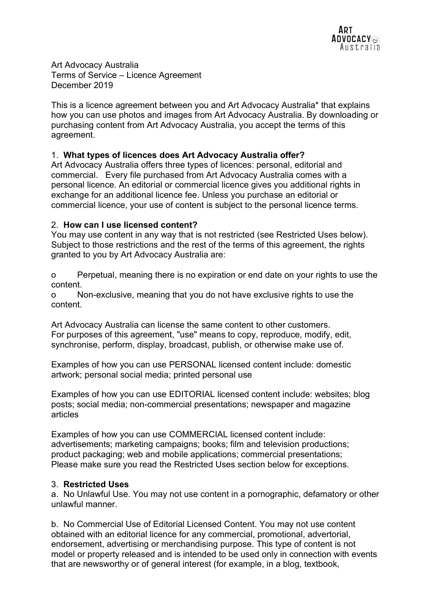Art Advocacy Australia Terms of Service – Licence Agreement December 2019

This is a licence agreement between you and Art Advocacy Australia\* that explains how you can use photos and images from Art Advocacy Australia. By downloading or purchasing content from Art Advocacy Australia, you accept the terms of this agreement.

### 1. What types of licences does Art Advocacy Australia offer?

Art Advocacy Australia offers three types of licences: personal, editorial and commercial. Every file purchased from Art Advocacy Australia comes with a personal licence. An editorial or commercial licence gives you additional rights in exchange for an additional licence fee. Unless you purchase an editorial or commercial licence, your use of content is subject to the personal licence terms.

#### 2. How can I use licensed content?

You may use content in any way that is not restricted (see Restricted Uses below). Subject to those restrictions and the rest of the terms of this agreement, the rights granted to you by Art Advocacy Australia are:

o Perpetual, meaning there is no expiration or end date on your rights to use the content.

o Non-exclusive, meaning that you do not have exclusive rights to use the content.

Art Advocacy Australia can license the same content to other customers. For purposes of this agreement, "use" means to copy, reproduce, modify, edit, synchronise, perform, display, broadcast, publish, or otherwise make use of.

Examples of how you can use PERSONAL licensed content include: domestic artwork; personal social media; printed personal use

Examples of how you can use EDITORIAL licensed content include: websites; blog posts; social media; non-commercial presentations; newspaper and magazine articles

Examples of how you can use COMMERCIAL licensed content include: advertisements; marketing campaigns; books; film and television productions; product packaging; web and mobile applications; commercial presentations; Please make sure you read the Restricted Uses section below for exceptions.

#### 3. Restricted Uses

a. No Unlawful Use. You may not use content in a pornographic, defamatory or other unlawful manner.

b. No Commercial Use of Editorial Licensed Content. You may not use content obtained with an editorial licence for any commercial, promotional, advertorial, endorsement, advertising or merchandising purpose. This type of content is not model or property released and is intended to be used only in connection with events that are newsworthy or of general interest (for example, in a blog, textbook,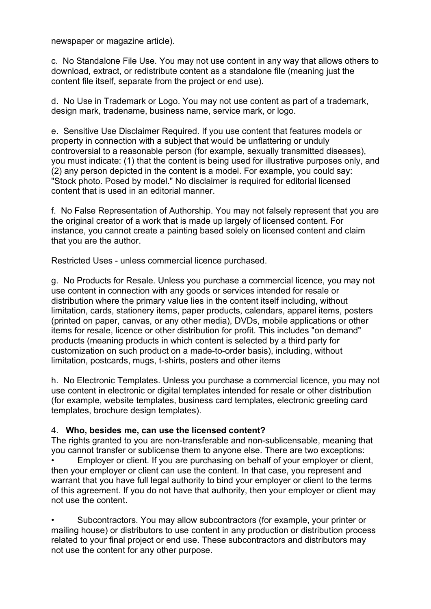newspaper or magazine article).

c. No Standalone File Use. You may not use content in any way that allows others to download, extract, or redistribute content as a standalone file (meaning just the content file itself, separate from the project or end use).

d. No Use in Trademark or Logo. You may not use content as part of a trademark, design mark, tradename, business name, service mark, or logo.

e. Sensitive Use Disclaimer Required. If you use content that features models or property in connection with a subject that would be unflattering or unduly controversial to a reasonable person (for example, sexually transmitted diseases), you must indicate: (1) that the content is being used for illustrative purposes only, and (2) any person depicted in the content is a model. For example, you could say: "Stock photo. Posed by model." No disclaimer is required for editorial licensed content that is used in an editorial manner.

f. No False Representation of Authorship. You may not falsely represent that you are the original creator of a work that is made up largely of licensed content. For instance, you cannot create a painting based solely on licensed content and claim that you are the author.

Restricted Uses - unless commercial licence purchased.

g. No Products for Resale. Unless you purchase a commercial licence, you may not use content in connection with any goods or services intended for resale or distribution where the primary value lies in the content itself including, without limitation, cards, stationery items, paper products, calendars, apparel items, posters (printed on paper, canvas, or any other media), DVDs, mobile applications or other items for resale, licence or other distribution for profit. This includes "on demand" products (meaning products in which content is selected by a third party for customization on such product on a made-to-order basis), including, without limitation, postcards, mugs, t-shirts, posters and other items

h. No Electronic Templates. Unless you purchase a commercial licence, you may not use content in electronic or digital templates intended for resale or other distribution (for example, website templates, business card templates, electronic greeting card templates, brochure design templates).

# 4. Who, besides me, can use the licensed content?

The rights granted to you are non-transferable and non-sublicensable, meaning that you cannot transfer or sublicense them to anyone else. There are two exceptions:

• Employer or client. If you are purchasing on behalf of your employer or client, then your employer or client can use the content. In that case, you represent and warrant that you have full legal authority to bind your employer or client to the terms of this agreement. If you do not have that authority, then your employer or client may not use the content.

• Subcontractors. You may allow subcontractors (for example, your printer or mailing house) or distributors to use content in any production or distribution process related to your final project or end use. These subcontractors and distributors may not use the content for any other purpose.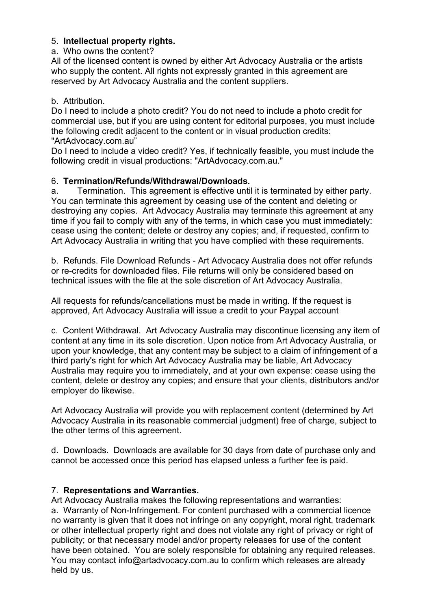# 5. Intellectual property rights.

### a. Who owns the content?

All of the licensed content is owned by either Art Advocacy Australia or the artists who supply the content. All rights not expressly granted in this agreement are reserved by Art Advocacy Australia and the content suppliers.

### b. Attribution.

Do I need to include a photo credit? You do not need to include a photo credit for commercial use, but if you are using content for editorial purposes, you must include the following credit adjacent to the content or in visual production credits: "ArtAdvocacy.com.au"

Do I need to include a video credit? Yes, if technically feasible, you must include the following credit in visual productions: "ArtAdvocacy.com.au."

# 6. Termination/Refunds/Withdrawal/Downloads.

a. Termination. This agreement is effective until it is terminated by either party. You can terminate this agreement by ceasing use of the content and deleting or destroying any copies. Art Advocacy Australia may terminate this agreement at any time if you fail to comply with any of the terms, in which case you must immediately: cease using the content; delete or destroy any copies; and, if requested, confirm to Art Advocacy Australia in writing that you have complied with these requirements.

b. Refunds. File Download Refunds - Art Advocacy Australia does not offer refunds or re-credits for downloaded files. File returns will only be considered based on technical issues with the file at the sole discretion of Art Advocacy Australia.

All requests for refunds/cancellations must be made in writing. If the request is approved, Art Advocacy Australia will issue a credit to your Paypal account

c. Content Withdrawal. Art Advocacy Australia may discontinue licensing any item of content at any time in its sole discretion. Upon notice from Art Advocacy Australia, or upon your knowledge, that any content may be subject to a claim of infringement of a third party's right for which Art Advocacy Australia may be liable, Art Advocacy Australia may require you to immediately, and at your own expense: cease using the content, delete or destroy any copies; and ensure that your clients, distributors and/or employer do likewise.

Art Advocacy Australia will provide you with replacement content (determined by Art Advocacy Australia in its reasonable commercial judgment) free of charge, subject to the other terms of this agreement.

d. Downloads. Downloads are available for 30 days from date of purchase only and cannot be accessed once this period has elapsed unless a further fee is paid.

# 7. Representations and Warranties.

Art Advocacy Australia makes the following representations and warranties: a. Warranty of Non-Infringement. For content purchased with a commercial licence no warranty is given that it does not infringe on any copyright, moral right, trademark or other intellectual property right and does not violate any right of privacy or right of publicity; or that necessary model and/or property releases for use of the content have been obtained. You are solely responsible for obtaining any required releases. You may contact info@artadvocacy.com.au to confirm which releases are already held by us.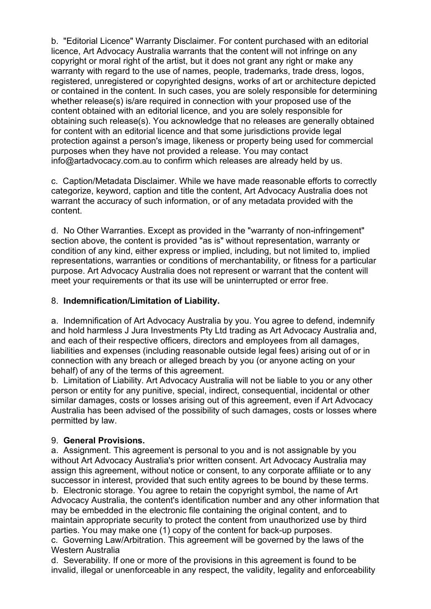b. "Editorial Licence" Warranty Disclaimer. For content purchased with an editorial licence, Art Advocacy Australia warrants that the content will not infringe on any copyright or moral right of the artist, but it does not grant any right or make any warranty with regard to the use of names, people, trademarks, trade dress, logos, registered, unregistered or copyrighted designs, works of art or architecture depicted or contained in the content. In such cases, you are solely responsible for determining whether release(s) is/are required in connection with your proposed use of the content obtained with an editorial licence, and you are solely responsible for obtaining such release(s). You acknowledge that no releases are generally obtained for content with an editorial licence and that some jurisdictions provide legal protection against a person's image, likeness or property being used for commercial purposes when they have not provided a release. You may contact info@artadvocacy.com.au to confirm which releases are already held by us.

c. Caption/Metadata Disclaimer. While we have made reasonable efforts to correctly categorize, keyword, caption and title the content, Art Advocacy Australia does not warrant the accuracy of such information, or of any metadata provided with the content.

d. No Other Warranties. Except as provided in the "warranty of non-infringement" section above, the content is provided "as is" without representation, warranty or condition of any kind, either express or implied, including, but not limited to, implied representations, warranties or conditions of merchantability, or fitness for a particular purpose. Art Advocacy Australia does not represent or warrant that the content will meet your requirements or that its use will be uninterrupted or error free.

### 8. Indemnification/Limitation of Liability.

a. Indemnification of Art Advocacy Australia by you. You agree to defend, indemnify and hold harmless J Jura Investments Pty Ltd trading as Art Advocacy Australia and, and each of their respective officers, directors and employees from all damages, liabilities and expenses (including reasonable outside legal fees) arising out of or in connection with any breach or alleged breach by you (or anyone acting on your behalf) of any of the terms of this agreement.

b. Limitation of Liability. Art Advocacy Australia will not be liable to you or any other person or entity for any punitive, special, indirect, consequential, incidental or other similar damages, costs or losses arising out of this agreement, even if Art Advocacy Australia has been advised of the possibility of such damages, costs or losses where permitted by law.

#### 9. General Provisions.

a. Assignment. This agreement is personal to you and is not assignable by you without Art Advocacy Australia's prior written consent. Art Advocacy Australia may assign this agreement, without notice or consent, to any corporate affiliate or to any successor in interest, provided that such entity agrees to be bound by these terms. b. Electronic storage. You agree to retain the copyright symbol, the name of Art Advocacy Australia, the content's identification number and any other information that may be embedded in the electronic file containing the original content, and to maintain appropriate security to protect the content from unauthorized use by third parties. You may make one (1) copy of the content for back-up purposes.

c. Governing Law/Arbitration. This agreement will be governed by the laws of the Western Australia

d. Severability. If one or more of the provisions in this agreement is found to be invalid, illegal or unenforceable in any respect, the validity, legality and enforceability